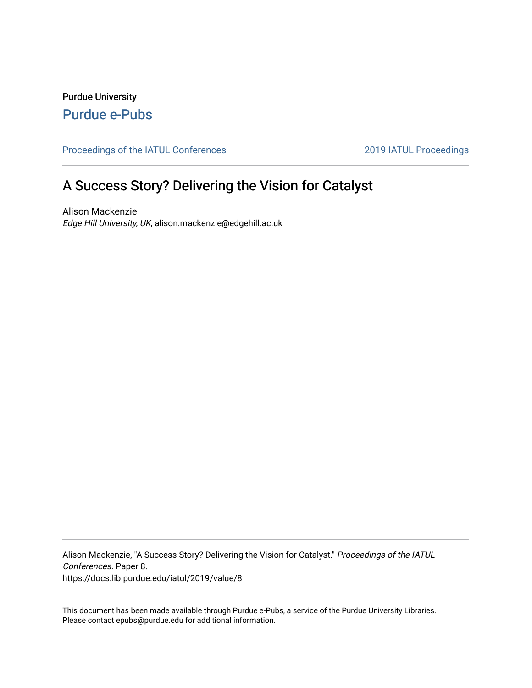Purdue University [Purdue e-Pubs](https://docs.lib.purdue.edu/)

[Proceedings of the IATUL Conferences](https://docs.lib.purdue.edu/iatul) 2019 2019 IATUL Proceedings

# A Success Story? Delivering the Vision for Catalyst

Alison Mackenzie Edge Hill University, UK, alison.mackenzie@edgehill.ac.uk

Alison Mackenzie, "A Success Story? Delivering the Vision for Catalyst." Proceedings of the IATUL Conferences. Paper 8. https://docs.lib.purdue.edu/iatul/2019/value/8

This document has been made available through Purdue e-Pubs, a service of the Purdue University Libraries. Please contact epubs@purdue.edu for additional information.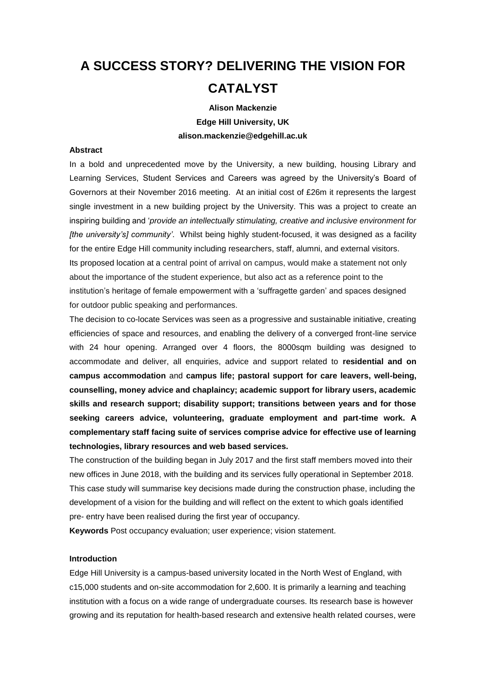# **A SUCCESS STORY? DELIVERING THE VISION FOR CATALYST**

#### **Alison Mackenzie**

**Edge Hill University, UK alison.mackenzie@edgehill.ac.uk**

# **Abstract**

In a bold and unprecedented move by the University, a new building, housing Library and Learning Services, Student Services and Careers was agreed by the University's Board of Governors at their November 2016 meeting. At an initial cost of £26m it represents the largest single investment in a new building project by the University. This was a project to create an inspiring building and '*provide an intellectually stimulating, creative and inclusive environment for [the university's] community'*. Whilst being highly student-focused, it was designed as a facility for the entire Edge Hill community including researchers, staff, alumni, and external visitors. Its proposed location at a central point of arrival on campus, would make a statement not only about the importance of the student experience, but also act as a reference point to the institution's heritage of female empowerment with a 'suffragette garden' and spaces designed for outdoor public speaking and performances.

The decision to co-locate Services was seen as a progressive and sustainable initiative, creating efficiencies of space and resources, and enabling the delivery of a converged front-line service with 24 hour opening. Arranged over 4 floors, the 8000sqm building was designed to accommodate and deliver, all enquiries, advice and support related to **residential and on campus accommodation** and **campus life; pastoral support for care leavers, well-being, counselling, money advice and chaplaincy; academic support for library users, academic skills and research support; disability support; transitions between years and for those seeking careers advice, volunteering, graduate employment and part-time work. A complementary staff facing suite of services comprise advice for effective use of learning technologies, library resources and web based services.**

The construction of the building began in July 2017 and the first staff members moved into their new offices in June 2018, with the building and its services fully operational in September 2018. This case study will summarise key decisions made during the construction phase, including the development of a vision for the building and will reflect on the extent to which goals identified pre- entry have been realised during the first year of occupancy.

**Keywords** Post occupancy evaluation; user experience; vision statement.

# **Introduction**

Edge Hill University is a campus-based university located in the North West of England, with c15,000 students and on-site accommodation for 2,600. It is primarily a learning and teaching institution with a focus on a wide range of undergraduate courses. Its research base is however growing and its reputation for health-based research and extensive health related courses, were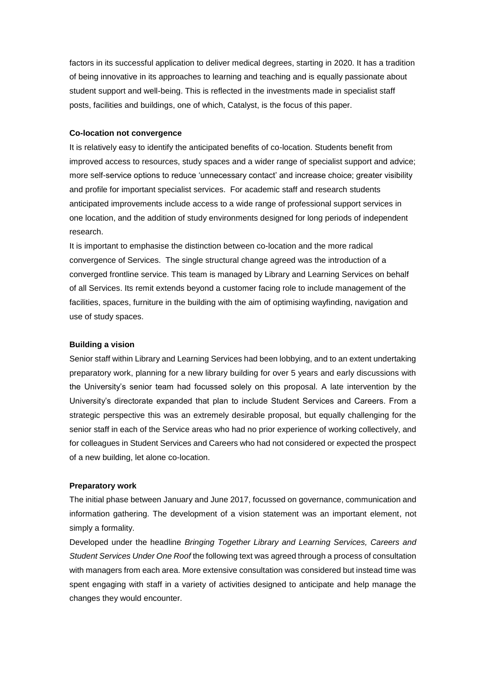factors in its successful application to deliver medical degrees, starting in 2020. It has a tradition of being innovative in its approaches to learning and teaching and is equally passionate about student support and well-being. This is reflected in the investments made in specialist staff posts, facilities and buildings, one of which, Catalyst, is the focus of this paper.

#### **Co-location not convergence**

It is relatively easy to identify the anticipated benefits of co-location. Students benefit from improved access to resources, study spaces and a wider range of specialist support and advice; more self-service options to reduce 'unnecessary contact' and increase choice; greater visibility and profile for important specialist services. For academic staff and research students anticipated improvements include access to a wide range of professional support services in one location, and the addition of study environments designed for long periods of independent research.

It is important to emphasise the distinction between co-location and the more radical convergence of Services. The single structural change agreed was the introduction of a converged frontline service. This team is managed by Library and Learning Services on behalf of all Services. Its remit extends beyond a customer facing role to include management of the facilities, spaces, furniture in the building with the aim of optimising wayfinding, navigation and use of study spaces.

#### **Building a vision**

Senior staff within Library and Learning Services had been lobbying, and to an extent undertaking preparatory work, planning for a new library building for over 5 years and early discussions with the University's senior team had focussed solely on this proposal. A late intervention by the University's directorate expanded that plan to include Student Services and Careers. From a strategic perspective this was an extremely desirable proposal, but equally challenging for the senior staff in each of the Service areas who had no prior experience of working collectively, and for colleagues in Student Services and Careers who had not considered or expected the prospect of a new building, let alone co-location.

#### **Preparatory work**

The initial phase between January and June 2017, focussed on governance, communication and information gathering. The development of a vision statement was an important element, not simply a formality.

Developed under the headline *Bringing Together Library and Learning Services, Careers and Student Services Under One Roof* the following text was agreed through a process of consultation with managers from each area. More extensive consultation was considered but instead time was spent engaging with staff in a variety of activities designed to anticipate and help manage the changes they would encounter.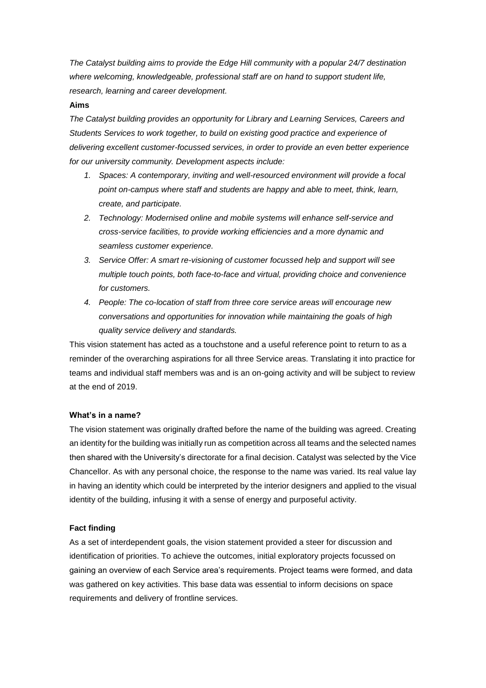*The Catalyst building aims to provide the Edge Hill community with a popular 24/7 destination where welcoming, knowledgeable, professional staff are on hand to support student life, research, learning and career development.*

#### **Aims**

*The Catalyst building provides an opportunity for Library and Learning Services, Careers and Students Services to work together, to build on existing good practice and experience of delivering excellent customer-focussed services, in order to provide an even better experience for our university community. Development aspects include:*

- *1. Spaces: A contemporary, inviting and well-resourced environment will provide a focal point on-campus where staff and students are happy and able to meet, think, learn, create, and participate.*
- *2. Technology: Modernised online and mobile systems will enhance self-service and cross-service facilities, to provide working efficiencies and a more dynamic and seamless customer experience.*
- *3. Service Offer: A smart re-visioning of customer focussed help and support will see multiple touch points, both face-to-face and virtual, providing choice and convenience for customers.*
- *4. People: The co-location of staff from three core service areas will encourage new conversations and opportunities for innovation while maintaining the goals of high quality service delivery and standards.*

This vision statement has acted as a touchstone and a useful reference point to return to as a reminder of the overarching aspirations for all three Service areas. Translating it into practice for teams and individual staff members was and is an on-going activity and will be subject to review at the end of 2019.

#### **What's in a name?**

The vision statement was originally drafted before the name of the building was agreed. Creating an identity for the building was initially run as competition across all teams and the selected names then shared with the University's directorate for a final decision. Catalyst was selected by the Vice Chancellor. As with any personal choice, the response to the name was varied. Its real value lay in having an identity which could be interpreted by the interior designers and applied to the visual identity of the building, infusing it with a sense of energy and purposeful activity.

#### **Fact finding**

As a set of interdependent goals, the vision statement provided a steer for discussion and identification of priorities. To achieve the outcomes, initial exploratory projects focussed on gaining an overview of each Service area's requirements. Project teams were formed, and data was gathered on key activities. This base data was essential to inform decisions on space requirements and delivery of frontline services.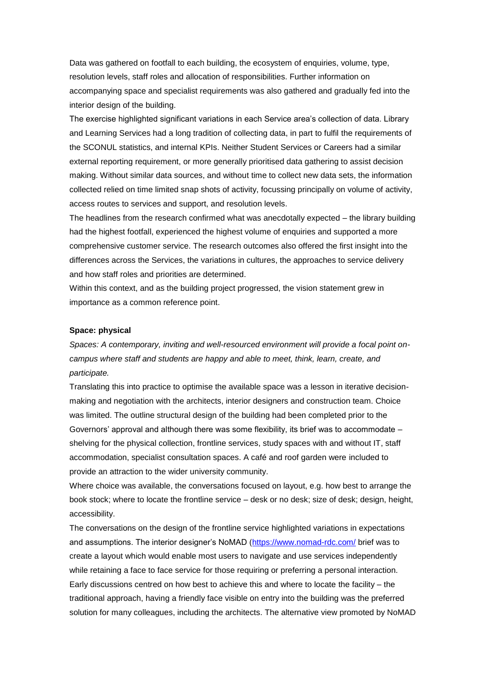Data was gathered on footfall to each building, the ecosystem of enquiries, volume, type, resolution levels, staff roles and allocation of responsibilities. Further information on accompanying space and specialist requirements was also gathered and gradually fed into the interior design of the building.

The exercise highlighted significant variations in each Service area's collection of data. Library and Learning Services had a long tradition of collecting data, in part to fulfil the requirements of the SCONUL statistics, and internal KPIs. Neither Student Services or Careers had a similar external reporting requirement, or more generally prioritised data gathering to assist decision making. Without similar data sources, and without time to collect new data sets, the information collected relied on time limited snap shots of activity, focussing principally on volume of activity, access routes to services and support, and resolution levels.

The headlines from the research confirmed what was anecdotally expected – the library building had the highest footfall, experienced the highest volume of enquiries and supported a more comprehensive customer service. The research outcomes also offered the first insight into the differences across the Services, the variations in cultures, the approaches to service delivery and how staff roles and priorities are determined.

Within this context, and as the building project progressed, the vision statement grew in importance as a common reference point.

#### **Space: physical**

*Spaces: A contemporary, inviting and well-resourced environment will provide a focal point oncampus where staff and students are happy and able to meet, think, learn, create, and participate.*

Translating this into practice to optimise the available space was a lesson in iterative decisionmaking and negotiation with the architects, interior designers and construction team. Choice was limited. The outline structural design of the building had been completed prior to the Governors' approval and although there was some flexibility, its brief was to accommodate – shelving for the physical collection, frontline services, study spaces with and without IT, staff accommodation, specialist consultation spaces. A café and roof garden were included to provide an attraction to the wider university community.

Where choice was available, the conversations focused on layout, e.g. how best to arrange the book stock; where to locate the frontline service – desk or no desk; size of desk; design, height, accessibility.

The conversations on the design of the frontline service highlighted variations in expectations and assumptions. The interior designer's NoMAD [\(https://www.nomad-rdc.com/](https://www.nomad-rdc.com/) brief was to create a layout which would enable most users to navigate and use services independently while retaining a face to face service for those requiring or preferring a personal interaction. Early discussions centred on how best to achieve this and where to locate the facility – the traditional approach, having a friendly face visible on entry into the building was the preferred solution for many colleagues, including the architects. The alternative view promoted by NoMAD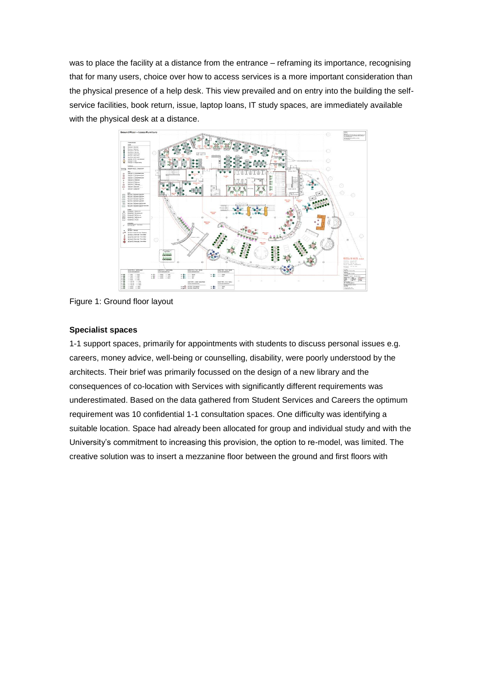was to place the facility at a distance from the entrance – reframing its importance, recognising that for many users, choice over how to access services is a more important consideration than the physical presence of a help desk. This view prevailed and on entry into the building the selfservice facilities, book return, issue, laptop loans, IT study spaces, are immediately available with the physical desk at a distance.



Figure 1: Ground floor layout

#### **Specialist spaces**

1-1 support spaces, primarily for appointments with students to discuss personal issues e.g. careers, money advice, well-being or counselling, disability, were poorly understood by the architects. Their brief was primarily focussed on the design of a new library and the consequences of co-location with Services with significantly different requirements was underestimated. Based on the data gathered from Student Services and Careers the optimum requirement was 10 confidential 1-1 consultation spaces. One difficulty was identifying a suitable location. Space had already been allocated for group and individual study and with the University's commitment to increasing this provision, the option to re-model, was limited. The creative solution was to insert a mezzanine floor between the ground and first floors with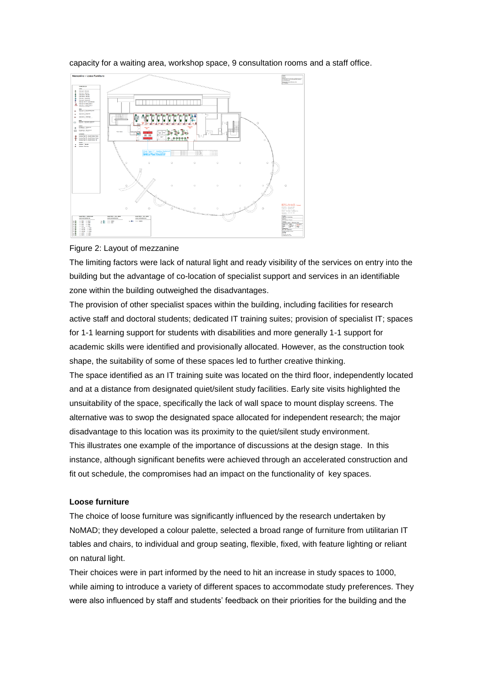capacity for a waiting area, workshop space, 9 consultation rooms and a staff office.



#### Figure 2: Layout of mezzanine

The limiting factors were lack of natural light and ready visibility of the services on entry into the building but the advantage of co-location of specialist support and services in an identifiable zone within the building outweighed the disadvantages.

The provision of other specialist spaces within the building, including facilities for research active staff and doctoral students; dedicated IT training suites; provision of specialist IT; spaces for 1-1 learning support for students with disabilities and more generally 1-1 support for academic skills were identified and provisionally allocated. However, as the construction took shape, the suitability of some of these spaces led to further creative thinking.

The space identified as an IT training suite was located on the third floor, independently located and at a distance from designated quiet/silent study facilities. Early site visits highlighted the unsuitability of the space, specifically the lack of wall space to mount display screens. The alternative was to swop the designated space allocated for independent research; the major disadvantage to this location was its proximity to the quiet/silent study environment. This illustrates one example of the importance of discussions at the design stage. In this instance, although significant benefits were achieved through an accelerated construction and fit out schedule, the compromises had an impact on the functionality of key spaces.

#### **Loose furniture**

The choice of loose furniture was significantly influenced by the research undertaken by NoMAD; they developed a colour palette, selected a broad range of furniture from utilitarian IT tables and chairs, to individual and group seating, flexible, fixed, with feature lighting or reliant on natural light.

Their choices were in part informed by the need to hit an increase in study spaces to 1000, while aiming to introduce a variety of different spaces to accommodate study preferences. They were also influenced by staff and students' feedback on their priorities for the building and the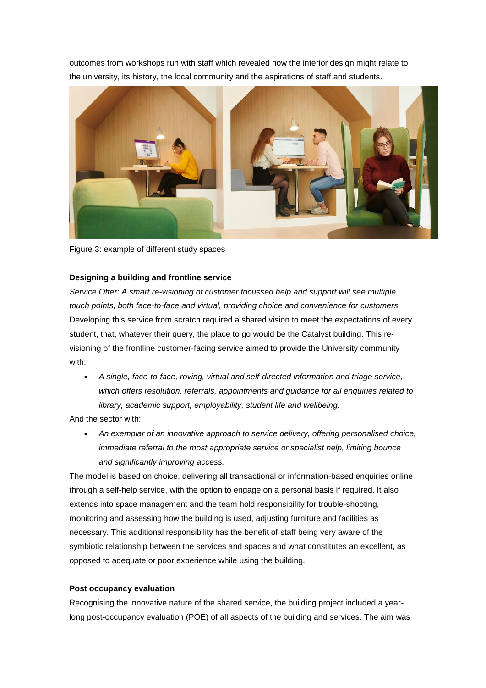outcomes from workshops run with staff which revealed how the interior design might relate to the university, its history, the local community and the aspirations of staff and students.



Figure 3: example of different study spaces

# **Designing a building and frontline service**

*Service Offer: A smart re-visioning of customer focussed help and support will see multiple touch points, both face-to-face and virtual, providing choice and convenience for customers.* Developing this service from scratch required a shared vision to meet the expectations of every student, that, whatever their query, the place to go would be the Catalyst building. This revisioning of the frontline customer-facing service aimed to provide the University community with:

• *A single, face-to-face, roving, virtual and self-directed information and triage service, which offers resolution, referrals, appointments and guidance for all enquiries related to library, academic support, employability, student life and wellbeing.*

And the sector with:

• *An exemplar of an innovative approach to service delivery, offering personalised choice, immediate referral to the most appropriate service or specialist help, limiting bounce and significantly improving access.*

The model is based on choice, delivering all transactional or information-based enquiries online through a self-help service, with the option to engage on a personal basis if required. It also extends into space management and the team hold responsibility for trouble-shooting, monitoring and assessing how the building is used, adjusting furniture and facilities as necessary. This additional responsibility has the benefit of staff being very aware of the symbiotic relationship between the services and spaces and what constitutes an excellent, as opposed to adequate or poor experience while using the building.

# **Post occupancy evaluation**

Recognising the innovative nature of the shared service, the building project included a yearlong post-occupancy evaluation (POE) of all aspects of the building and services. The aim was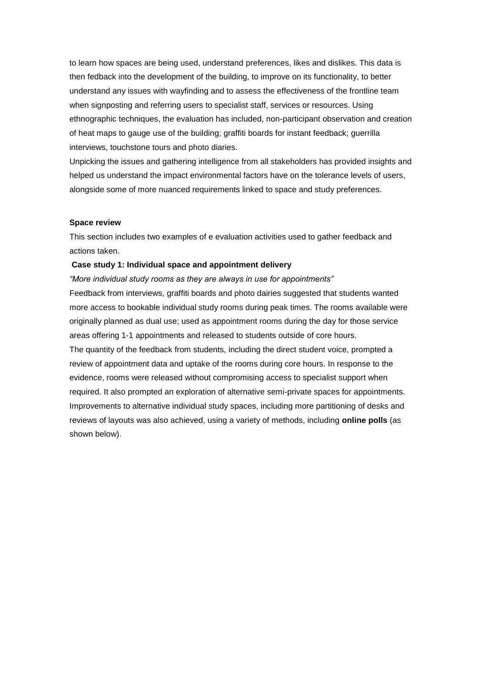to learn how spaces are being used, understand preferences, likes and dislikes. This data is then fedback into the development of the building, to improve on its functionality, to better understand any issues with wayfinding and to assess the effectiveness of the frontline team when signposting and referring users to specialist staff, services or resources. Using ethnographic techniques, the evaluation has included, non-participant observation and creation of heat maps to gauge use of the building; graffiti boards for instant feedback; guerrilla interviews, touchstone tours and photo diaries.

Unpicking the issues and gathering intelligence from all stakeholders has provided insights and helped us understand the impact environmental factors have on the tolerance levels of users, alongside some of more nuanced requirements linked to space and study preferences.

#### **Space review**

This section includes two examples of e evaluation activities used to gather feedback and actions taken.

# **Case study 1: Individual space and appointment delivery**

*"More individual study rooms as they are always in use for appointments"* Feedback from interviews, graffiti boards and photo dairies suggested that students wanted more access to bookable individual study rooms during peak times. The rooms available were originally planned as dual use; used as appointment rooms during the day for those service areas offering 1-1 appointments and released to students outside of core hours. The quantity of the feedback from students, including the direct student voice, prompted a review of appointment data and uptake of the rooms during core hours. In response to the evidence, rooms were released without compromising access to specialist support when required. It also prompted an exploration of alternative semi-private spaces for appointments. Improvements to alternative individual study spaces, including more partitioning of desks and reviews of layouts was also achieved, using a variety of methods, including **online polls** (as shown below).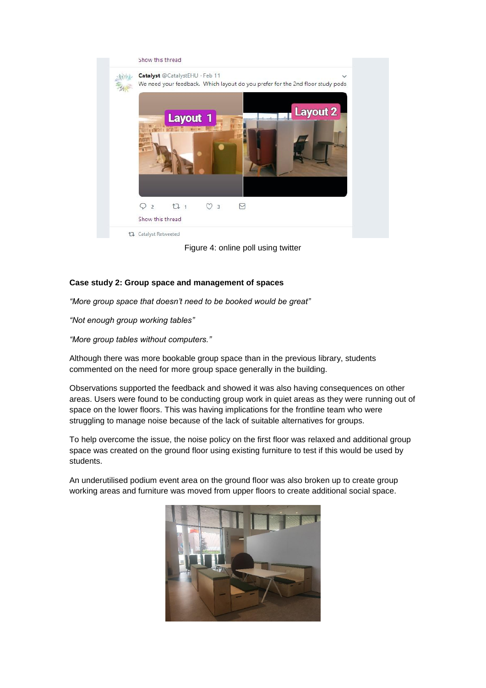

Figure 4: online poll using twitter

# **Case study 2: Group space and management of spaces**

*"More group space that doesn't need to be booked would be great"*

*"Not enough group working tables"*

*"More group tables without computers."*

Although there was more bookable group space than in the previous library, students commented on the need for more group space generally in the building.

Observations supported the feedback and showed it was also having consequences on other areas. Users were found to be conducting group work in quiet areas as they were running out of space on the lower floors. This was having implications for the frontline team who were struggling to manage noise because of the lack of suitable alternatives for groups.

To help overcome the issue, the noise policy on the first floor was relaxed and additional group space was created on the ground floor using existing furniture to test if this would be used by students.

An underutilised podium event area on the ground floor was also broken up to create group working areas and furniture was moved from upper floors to create additional social space.